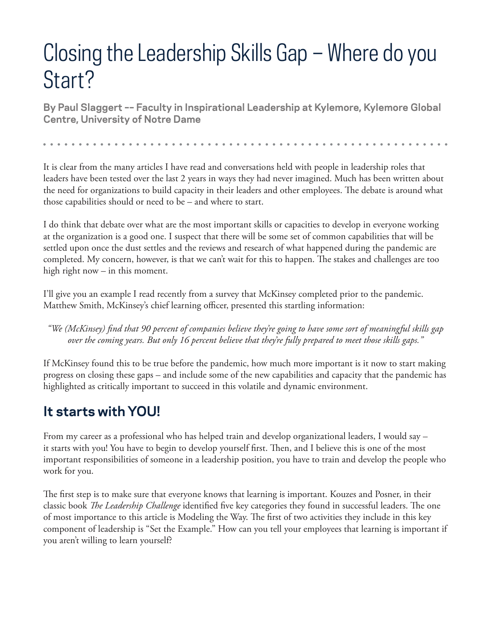## Closing the Leadership Skills Gap – Where do you Start?

**By Paul Slaggert –– Faculty in Inspirational Leadership at Kylemore, Kylemore Global Centre, University of Notre Dame**

It is clear from the many articles I have read and conversations held with people in leadership roles that leaders have been tested over the last 2 years in ways they had never imagined. Much has been written about the need for organizations to build capacity in their leaders and other employees. The debate is around what those capabilities should or need to be – and where to start.

I do think that debate over what are the most important skills or capacities to develop in everyone working at the organization is a good one. I suspect that there will be some set of common capabilities that will be settled upon once the dust settles and the reviews and research of what happened during the pandemic are completed. My concern, however, is that we can't wait for this to happen. The stakes and challenges are too high right now – in this moment.

I'll give you an example I read recently from a survey that McKinsey completed prior to the pandemic. Matthew Smith, McKinsey's chief learning officer, presented this startling information:

*"We (McKinsey) find that 90 percent of companies believe they're going to have some sort of meaningful skills gap over the coming years. But only 16 percent believe that they're fully prepared to meet those skills gaps."*

If McKinsey found this to be true before the pandemic, how much more important is it now to start making progress on closing these gaps – and include some of the new capabilities and capacity that the pandemic has highlighted as critically important to succeed in this volatile and dynamic environment.

## **It starts with YOU!**

From my career as a professional who has helped train and develop organizational leaders, I would say – it starts with you! You have to begin to develop yourself first. Then, and I believe this is one of the most important responsibilities of someone in a leadership position, you have to train and develop the people who work for you.

The first step is to make sure that everyone knows that learning is important. Kouzes and Posner, in their classic book *The Leadership Challenge* identified five key categories they found in successful leaders. The one of most importance to this article is Modeling the Way. The first of two activities they include in this key component of leadership is "Set the Example." How can you tell your employees that learning is important if you aren't willing to learn yourself?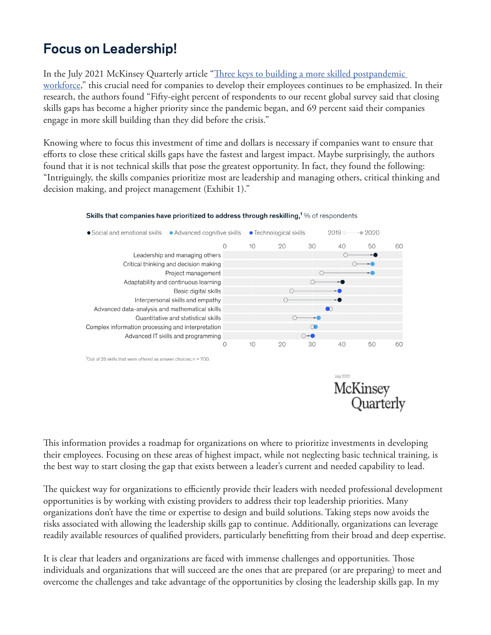## **Focus on Leadership!**

In the July 2021 McKinsey Quarterly article "Three keys to building a more skilled postpandemic [workforce](https://www.mckinsey.com/business-functions/people-and-organizational-performance/our-insights/three-keys-to-building-a-more-skilled-postpandemic-workforce)," this crucial need for companies to develop their employees continues to be emphasized. In their research, the authors found "Fifty-eight percent of respondents to our recent global survey said that closing skills gaps has become a higher priority since the pandemic began, and 69 percent said their companies engage in more skill building than they did before the crisis."

Knowing where to focus this investment of time and dollars is necessary if companies want to ensure that efforts to close these critical skills gaps have the fastest and largest impact. Maybe surprisingly, the authors found that it is not technical skills that pose the greatest opportunity. In fact, they found the following: "Intriguingly, the skills companies prioritize most are leadership and managing others, critical thinking and decision making, and project management (Exhibit 1)."



## Skills that companies have prioritized to address through reskilling,<sup>1</sup>% of respondents

**July 2021** McKinsey Quarterly

This information provides a roadmap for organizations on where to prioritize investments in developing their employees. Focusing on these areas of highest impact, while not neglecting basic technical training, is the best way to start closing the gap that exists between a leader's current and needed capability to lead.

The quickest way for organizations to efficiently provide their leaders with needed professional development opportunities is by working with existing providers to address their top leadership priorities. Many organizations don't have the time or expertise to design and build solutions. Taking steps now avoids the risks associated with allowing the leadership skills gap to continue. Additionally, organizations can leverage readily available resources of qualified providers, particularly benefitting from their broad and deep expertise.

It is clear that leaders and organizations are faced with immense challenges and opportunities. Those individuals and organizations that will succeed are the ones that are prepared (or are preparing) to meet and overcome the challenges and take advantage of the opportunities by closing the leadership skills gap. In my